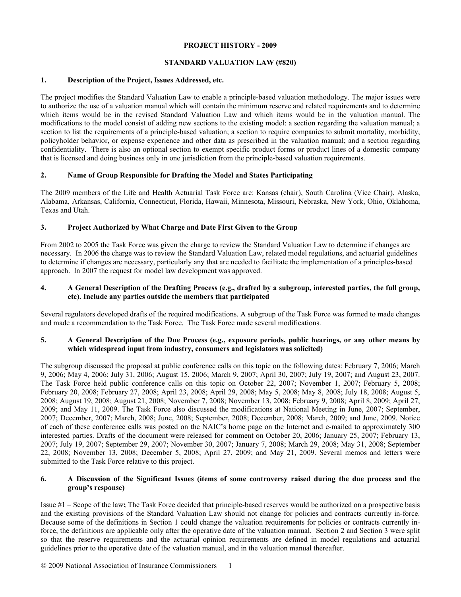#### **PROJECT HISTORY - 2009**

## **STANDARD VALUATION LAW (#820)**

#### **1. Description of the Project, Issues Addressed, etc.**

The project modifies the Standard Valuation Law to enable a principle-based valuation methodology. The major issues were to authorize the use of a valuation manual which will contain the minimum reserve and related requirements and to determine which items would be in the revised Standard Valuation Law and which items would be in the valuation manual. The modifications to the model consist of adding new sections to the existing model: a section regarding the valuation manual; a section to list the requirements of a principle-based valuation; a section to require companies to submit mortality, morbidity, policyholder behavior, or expense experience and other data as prescribed in the valuation manual; and a section regarding confidentiality. There is also an optional section to exempt specific product forms or product lines of a domestic company that is licensed and doing business only in one jurisdiction from the principle-based valuation requirements.

# **2. Name of Group Responsible for Drafting the Model and States Participating**

The 2009 members of the Life and Health Actuarial Task Force are: Kansas (chair), South Carolina (Vice Chair), Alaska, Alabama, Arkansas, California, Connecticut, Florida, Hawaii, Minnesota, Missouri, Nebraska, New York, Ohio, Oklahoma, Texas and Utah.

#### **3. Project Authorized by What Charge and Date First Given to the Group**

From 2002 to 2005 the Task Force was given the charge to review the Standard Valuation Law to determine if changes are necessary. In 2006 the charge was to review the Standard Valuation Law, related model regulations, and actuarial guidelines to determine if changes are necessary, particularly any that are needed to facilitate the implementation of a principles-based approach. In 2007 the request for model law development was approved.

### **4. A General Description of the Drafting Process (e.g., drafted by a subgroup, interested parties, the full group, etc). Include any parties outside the members that participated**

Several regulators developed drafts of the required modifications. A subgroup of the Task Force was formed to made changes and made a recommendation to the Task Force. The Task Force made several modifications.

#### **5. A General Description of the Due Process (e.g., exposure periods, public hearings, or any other means by which widespread input from industry, consumers and legislators was solicited)**

The subgroup discussed the proposal at public conference calls on this topic on the following dates: February 7, 2006; March 9, 2006; May 4, 2006; July 31, 2006; August 15, 2006; March 9, 2007; April 30, 2007; July 19, 2007; and August 23, 2007. The Task Force held public conference calls on this topic on October 22, 2007; November 1, 2007; February 5, 2008; February 20, 2008; February 27, 2008; April 23, 2008; April 29, 2008; May 5, 2008; May 8, 2008; July 18, 2008; August 5, 2008; August 19, 2008; August 21, 2008; November 7, 2008; November 13, 2008; February 9, 2008; April 8, 2009; April 27, 2009; and May 11, 2009. The Task Force also discussed the modifications at National Meeting in June, 2007; September, 2007; December, 2007; March, 2008; June, 2008; September, 2008; December, 2008; March, 2009; and June, 2009. Notice of each of these conference calls was posted on the NAIC's home page on the Internet and e-mailed to approximately 300 interested parties. Drafts of the document were released for comment on October 20, 2006; January 25, 2007; February 13, 2007; July 19, 2007; September 29, 2007; November 30, 2007; January 7, 2008; March 29, 2008; May 31, 2008; September 22, 2008; November 13, 2008; December 5, 2008; April 27, 2009; and May 21, 2009. Several memos and letters were submitted to the Task Force relative to this project.

# **6. A Discussion of the Significant Issues (items of some controversy raised during the due process and the group's response)**

Issue #1 – Scope of the law**;** The Task Force decided that principle-based reserves would be authorized on a prospective basis and the existing provisions of the Standard Valuation Law should not change for policies and contracts currently in-force. Because some of the definitions in Section 1 could change the valuation requirements for policies or contracts currently inforce, the definitions are applicable only after the operative date of the valuation manual. Section 2 and Section 3 were split so that the reserve requirements and the actuarial opinion requirements are defined in model regulations and actuarial guidelines prior to the operative date of the valuation manual, and in the valuation manual thereafter.